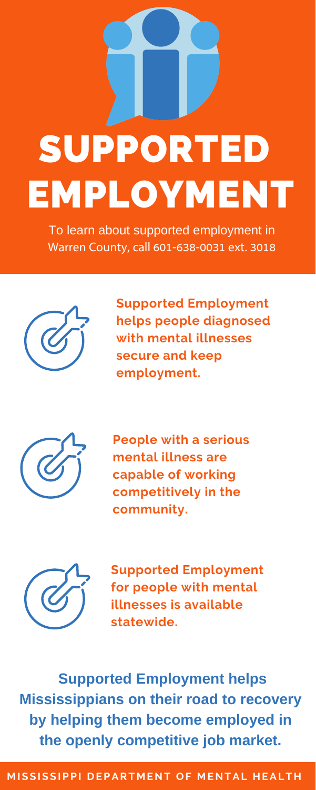# SUPPORTED EMPLOYMENT

**Supported Employment helps people diagnosed with mental illnesses secure and keep employment.**



**People with a serious mental illness are capable of working competitively in the community.**



**Supported Employment for people with mental illnesses is available statewide.**

To learn about supported employment in Warren County, call 601-638-0031 ext. 3018



**Supported Employment helps Mississippians on their road to recovery by helping them become employed in the openly competitive job market.**

## **MISSISSIPPI DEPARTMENT OF MENTAL HEALTH**